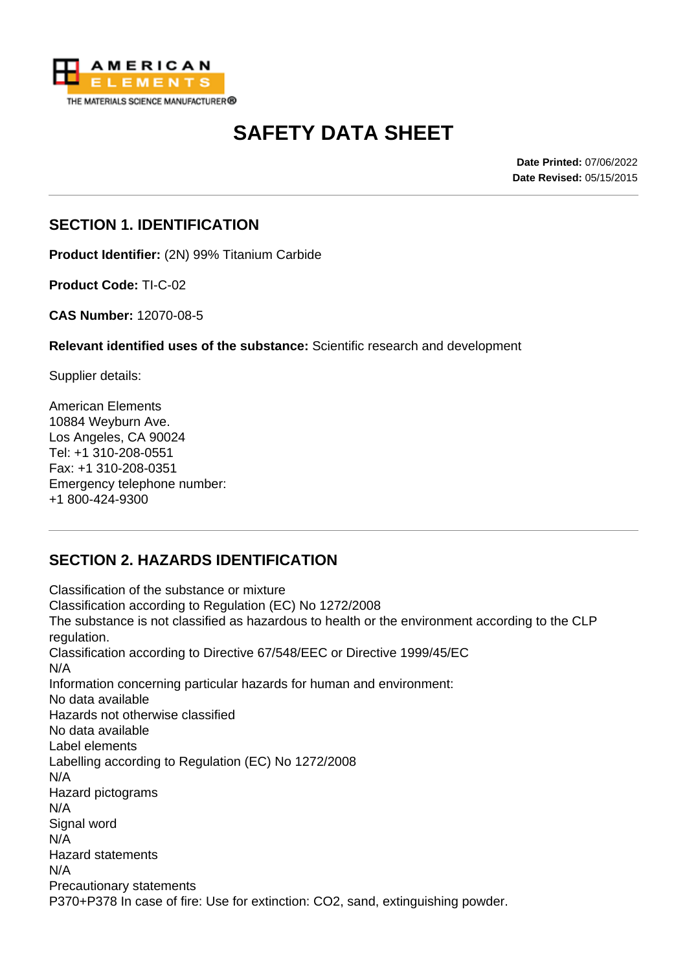

# **SAFETY DATA SHEET**

**Date Printed:** 07/06/2022 **Date Revised:** 05/15/2015

#### **SECTION 1. IDENTIFICATION**

**Product Identifier:** (2N) 99% Titanium Carbide

**Product Code:** TI-C-02

**CAS Number:** 12070-08-5

**Relevant identified uses of the substance:** Scientific research and development

Supplier details:

American Elements 10884 Weyburn Ave. Los Angeles, CA 90024 Tel: +1 310-208-0551 Fax: +1 310-208-0351 Emergency telephone number: +1 800-424-9300

# **SECTION 2. HAZARDS IDENTIFICATION**

Classification of the substance or mixture Classification according to Regulation (EC) No 1272/2008 The substance is not classified as hazardous to health or the environment according to the CLP regulation. Classification according to Directive 67/548/EEC or Directive 1999/45/EC N/A Information concerning particular hazards for human and environment: No data available Hazards not otherwise classified No data available Label elements Labelling according to Regulation (EC) No 1272/2008 N/A Hazard pictograms N/A Signal word N/A Hazard statements N/A Precautionary statements P370+P378 In case of fire: Use for extinction: CO2, sand, extinguishing powder.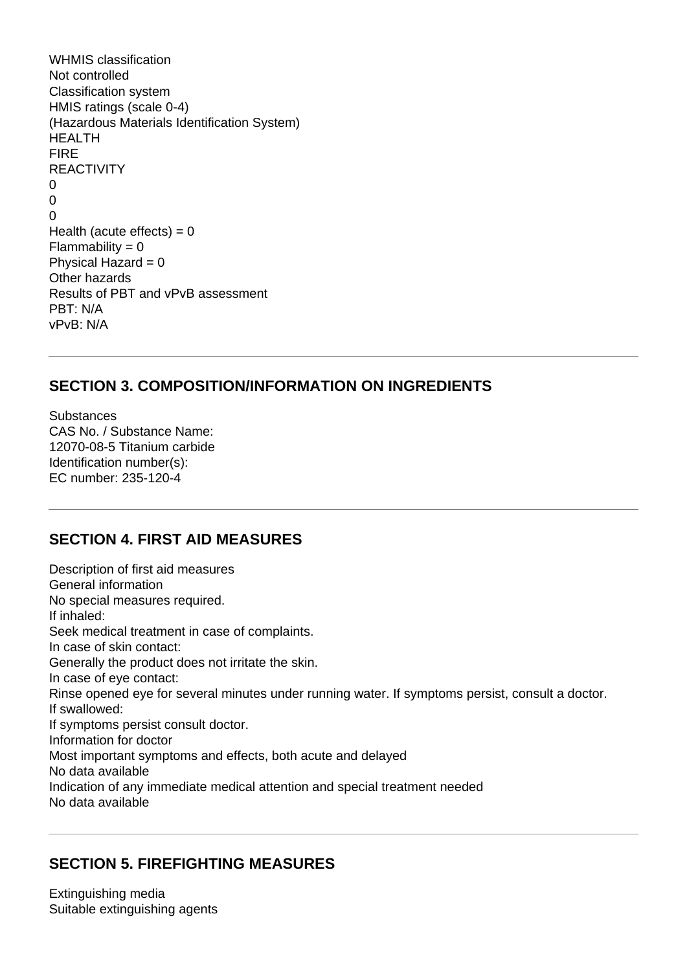WHMIS classification Not controlled Classification system HMIS ratings (scale 0-4) (Hazardous Materials Identification System) HEALTH FIRE REACTIVITY  $\Omega$  $\Omega$  $\Omega$ Health (acute effects) =  $0$  $Flammability = 0$ Physical Hazard  $= 0$ Other hazards Results of PBT and vPvB assessment PBT: N/A vPvB: N/A

## **SECTION 3. COMPOSITION/INFORMATION ON INGREDIENTS**

**Substances** CAS No. / Substance Name: 12070-08-5 Titanium carbide Identification number(s): EC number: 235-120-4

#### **SECTION 4. FIRST AID MEASURES**

Description of first aid measures General information No special measures required. If inhaled: Seek medical treatment in case of complaints. In case of skin contact: Generally the product does not irritate the skin. In case of eye contact: Rinse opened eye for several minutes under running water. If symptoms persist, consult a doctor. If swallowed: If symptoms persist consult doctor. Information for doctor Most important symptoms and effects, both acute and delayed No data available Indication of any immediate medical attention and special treatment needed No data available

# **SECTION 5. FIREFIGHTING MEASURES**

Extinguishing media Suitable extinguishing agents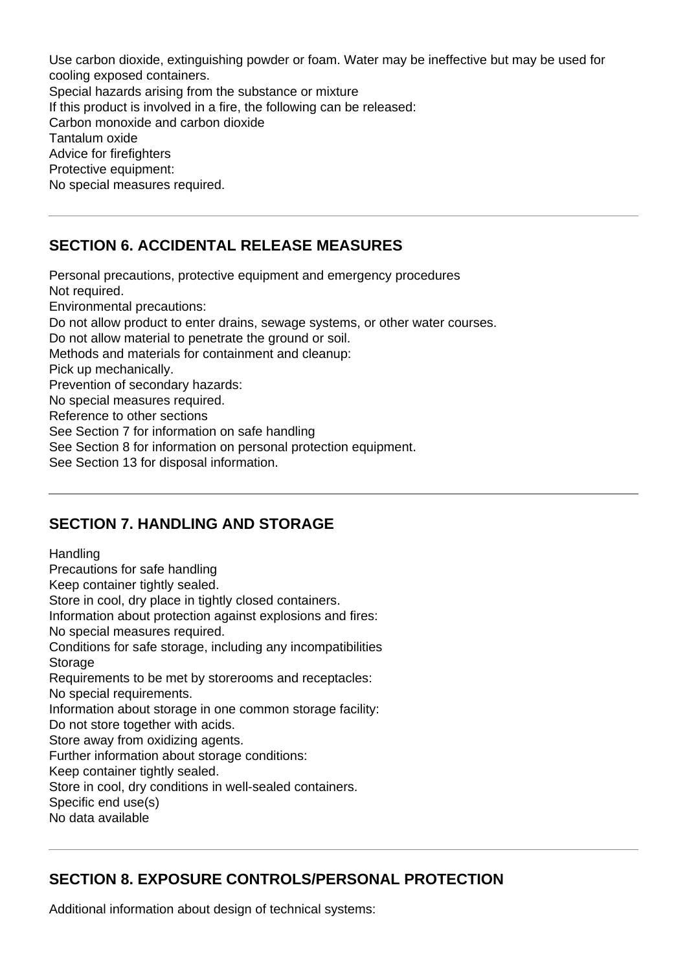Use carbon dioxide, extinguishing powder or foam. Water may be ineffective but may be used for cooling exposed containers. Special hazards arising from the substance or mixture If this product is involved in a fire, the following can be released: Carbon monoxide and carbon dioxide Tantalum oxide Advice for firefighters Protective equipment: No special measures required.

# **SECTION 6. ACCIDENTAL RELEASE MEASURES**

Personal precautions, protective equipment and emergency procedures Not required. Environmental precautions: Do not allow product to enter drains, sewage systems, or other water courses. Do not allow material to penetrate the ground or soil. Methods and materials for containment and cleanup: Pick up mechanically. Prevention of secondary hazards: No special measures required. Reference to other sections See Section 7 for information on safe handling See Section 8 for information on personal protection equipment. See Section 13 for disposal information.

#### **SECTION 7. HANDLING AND STORAGE**

**Handling** Precautions for safe handling Keep container tightly sealed. Store in cool, dry place in tightly closed containers. Information about protection against explosions and fires: No special measures required. Conditions for safe storage, including any incompatibilities **Storage** Requirements to be met by storerooms and receptacles: No special requirements. Information about storage in one common storage facility: Do not store together with acids. Store away from oxidizing agents. Further information about storage conditions: Keep container tightly sealed. Store in cool, dry conditions in well-sealed containers. Specific end use(s) No data available

# **SECTION 8. EXPOSURE CONTROLS/PERSONAL PROTECTION**

Additional information about design of technical systems: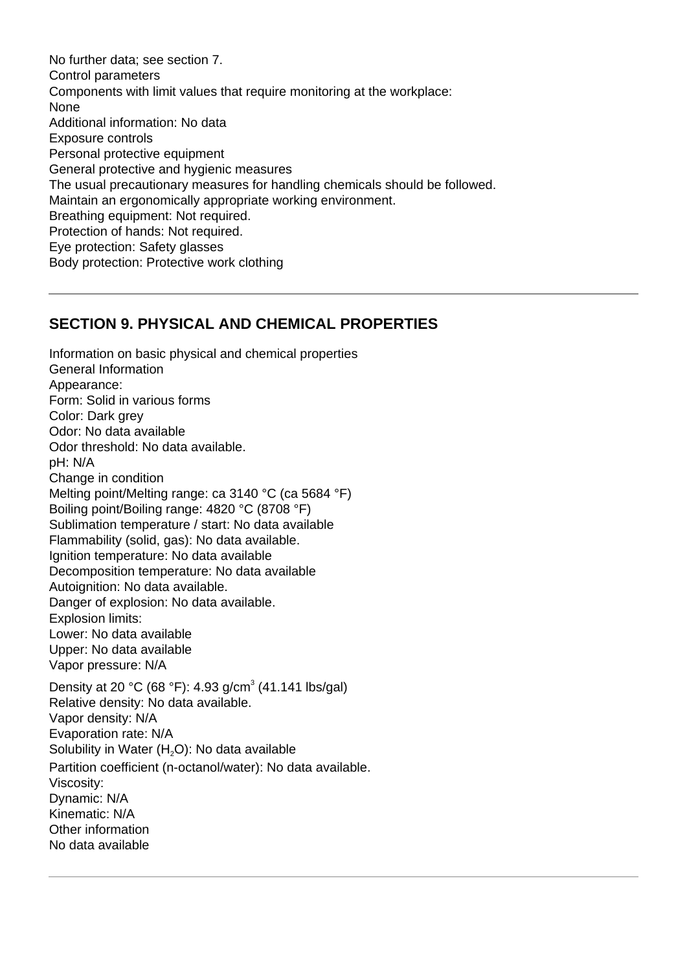No further data; see section 7. Control parameters Components with limit values that require monitoring at the workplace: None Additional information: No data Exposure controls Personal protective equipment General protective and hygienic measures The usual precautionary measures for handling chemicals should be followed. Maintain an ergonomically appropriate working environment. Breathing equipment: Not required. Protection of hands: Not required. Eye protection: Safety glasses Body protection: Protective work clothing

#### **SECTION 9. PHYSICAL AND CHEMICAL PROPERTIES**

Information on basic physical and chemical properties General Information Appearance: Form: Solid in various forms Color: Dark grey Odor: No data available Odor threshold: No data available. pH: N/A Change in condition Melting point/Melting range: ca 3140 °C (ca 5684 °F) Boiling point/Boiling range: 4820 °C (8708 °F) Sublimation temperature / start: No data available Flammability (solid, gas): No data available. Ignition temperature: No data available Decomposition temperature: No data available Autoignition: No data available. Danger of explosion: No data available. Explosion limits: Lower: No data available Upper: No data available Vapor pressure: N/A Density at 20 °C (68 °F): 4.93 g/cm<sup>3</sup> (41.141 lbs/gal) Relative density: No data available. Vapor density: N/A Evaporation rate: N/A Solubility in Water  $(H_2O)$ : No data available Partition coefficient (n-octanol/water): No data available. Viscosity: Dynamic: N/A Kinematic: N/A Other information No data available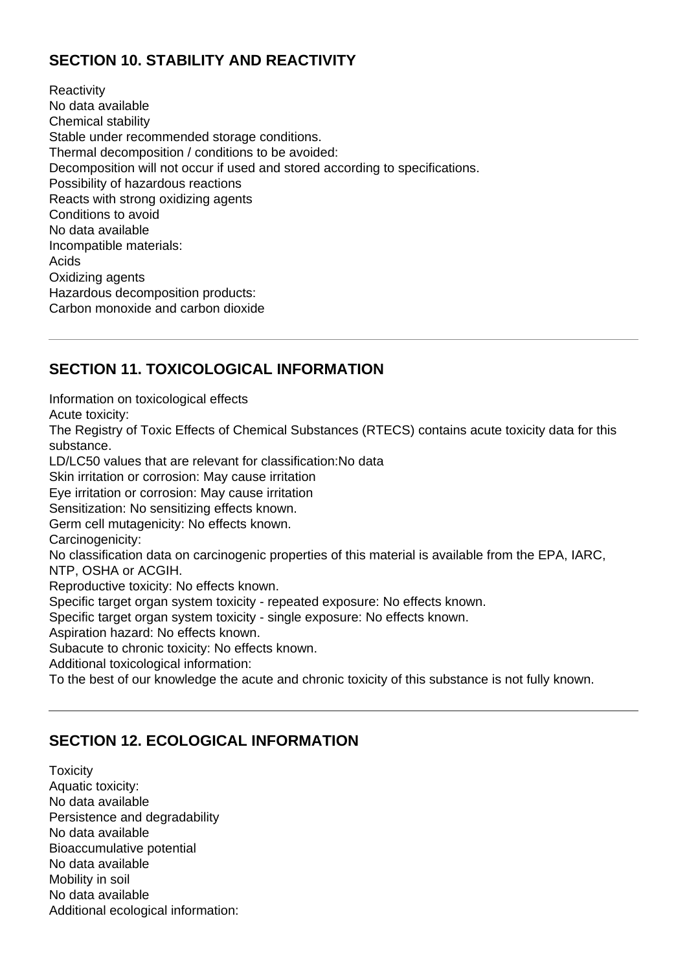# **SECTION 10. STABILITY AND REACTIVITY**

**Reactivity** No data available Chemical stability Stable under recommended storage conditions. Thermal decomposition / conditions to be avoided: Decomposition will not occur if used and stored according to specifications. Possibility of hazardous reactions Reacts with strong oxidizing agents Conditions to avoid No data available Incompatible materials: Acids Oxidizing agents Hazardous decomposition products: Carbon monoxide and carbon dioxide

# **SECTION 11. TOXICOLOGICAL INFORMATION**

Information on toxicological effects

Acute toxicity:

The Registry of Toxic Effects of Chemical Substances (RTECS) contains acute toxicity data for this substance.

LD/LC50 values that are relevant for classification:No data

Skin irritation or corrosion: May cause irritation

Eye irritation or corrosion: May cause irritation

Sensitization: No sensitizing effects known.

Germ cell mutagenicity: No effects known.

Carcinogenicity:

No classification data on carcinogenic properties of this material is available from the EPA, IARC, NTP, OSHA or ACGIH.

Reproductive toxicity: No effects known.

Specific target organ system toxicity - repeated exposure: No effects known.

Specific target organ system toxicity - single exposure: No effects known.

Aspiration hazard: No effects known.

Subacute to chronic toxicity: No effects known.

Additional toxicological information:

To the best of our knowledge the acute and chronic toxicity of this substance is not fully known.

#### **SECTION 12. ECOLOGICAL INFORMATION**

**Toxicity** Aquatic toxicity: No data available Persistence and degradability No data available Bioaccumulative potential No data available Mobility in soil No data available Additional ecological information: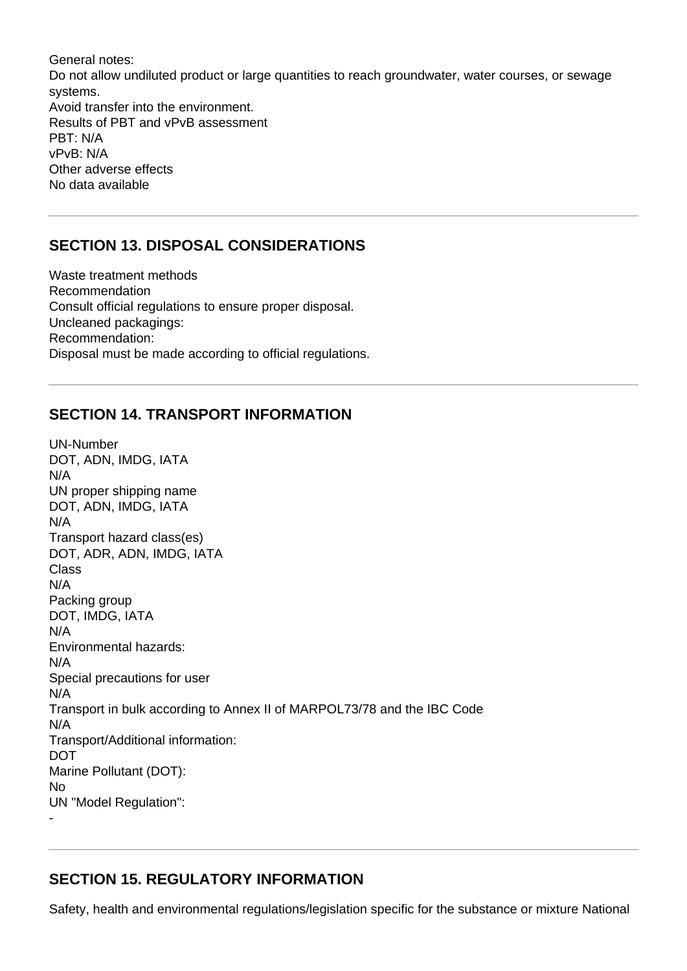General notes: Do not allow undiluted product or large quantities to reach groundwater, water courses, or sewage systems. Avoid transfer into the environment. Results of PBT and vPvB assessment PBT: N/A vPvB: N/A Other adverse effects No data available

## **SECTION 13. DISPOSAL CONSIDERATIONS**

Waste treatment methods Recommendation Consult official regulations to ensure proper disposal. Uncleaned packagings: Recommendation: Disposal must be made according to official regulations.

#### **SECTION 14. TRANSPORT INFORMATION**

UN-Number DOT, ADN, IMDG, IATA N/A UN proper shipping name DOT, ADN, IMDG, IATA N/A Transport hazard class(es) DOT, ADR, ADN, IMDG, IATA Class N/A Packing group DOT, IMDG, IATA N/A Environmental hazards: N/A Special precautions for user N/A Transport in bulk according to Annex II of MARPOL73/78 and the IBC Code N/A Transport/Additional information: **DOT** Marine Pollutant (DOT): No UN "Model Regulation": -

# **SECTION 15. REGULATORY INFORMATION**

Safety, health and environmental regulations/legislation specific for the substance or mixture National